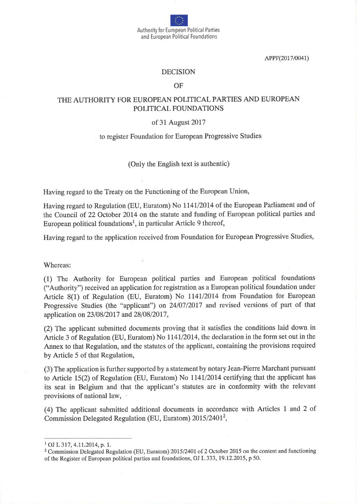Authority for European Political Parties and European Political Foundations

APPF(2017/0041)

#### DECISION

OF

# THE AUTHORITY FOR EUROPEAN POLITICAL PARTIES AND EUROPEAN POLITICAL FOUNDATIONS

#### of 31 August 2017

### to register Foundation for European Progressive Studies

(Only the English text is authentic)

Having regard to the Treaty on the Functioning of the European Union,

Having regard to Regulation (EU, Euratom) No 1141/2014 of the European Parliament and of the Council of 22 October 2014 on the statute and funding of European political parties and European political foundations<sup>1</sup>, in particular Article 9 thereof,

Having regard to the application received from Foundation for European Progressive Studies,

Whereas:

(1) The Authority for European political parties and European political foundations ("Authority") received an application for registration as a European political foundation under Article 8(1) of Regulation (EU, Euratom) No 1141/2014 from Foundation for European Progressive Studies (the "applicant") on 24/07/2017 and revised versions of part of that application on 23/08/2017 and 28/08/2017,

(2) The applicant submitted documents proving that it satisfies the conditions laid down in Article 3 of Regulation (EU, Euratom) No 1141/2014, the declaration in the form set out in the Annex to that Regulation, and the statutes of the applicant, containing the provisions required by Article 5 of that Regulation,

(3) The application is further supported by a statement by notary Jean-Pierre Marchant pursuant to Article 15(2) of Regulation (EU, Euratom) No  $1141/2014$  certifying that the applicant has its seat in Belgium and that the applicant's statutes are in conformity with the relevant provisions of national law,

(4) The applicant submitted additional documents in accordance with Articles 1 and 2 of. Commission Delegated Regulation (EU, Euratom) 2015/2401<sup>2</sup>,

 $1$  OJ L 317, 4.11.2014, p. 1.

<sup>&</sup>lt;sup>2</sup> Commission Delegated Regulation (EU, Euratom) 2015/2401 of 2 October 2015 on the content and functioning of the Register of European political parties and foundations, OJ L 333,19.12.2015, p 50.